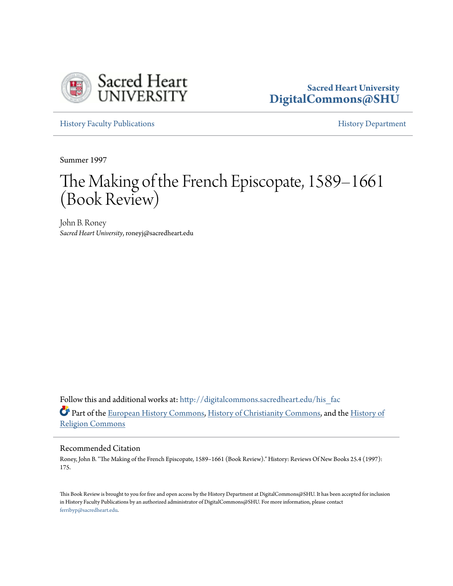

## **Sacred Heart University [DigitalCommons@SHU](http://digitalcommons.sacredheart.edu?utm_source=digitalcommons.sacredheart.edu%2Fhis_fac%2F117&utm_medium=PDF&utm_campaign=PDFCoverPages)**

[History Faculty Publications](http://digitalcommons.sacredheart.edu/his_fac?utm_source=digitalcommons.sacredheart.edu%2Fhis_fac%2F117&utm_medium=PDF&utm_campaign=PDFCoverPages) **[History Department](http://digitalcommons.sacredheart.edu/hist?utm_source=digitalcommons.sacredheart.edu%2Fhis_fac%2F117&utm_medium=PDF&utm_campaign=PDFCoverPages)** 

Summer 1997

# The Making of the French Episcopate, 1589–1661 (Book Review)

John B. Roney *Sacred Heart University*, roneyj@sacredheart.edu

Follow this and additional works at: http://digitalcommons.sacredheart.edu/his fac Part of the [European History Commons](http://network.bepress.com/hgg/discipline/492?utm_source=digitalcommons.sacredheart.edu%2Fhis_fac%2F117&utm_medium=PDF&utm_campaign=PDFCoverPages), [History of Christianity Commons](http://network.bepress.com/hgg/discipline/1182?utm_source=digitalcommons.sacredheart.edu%2Fhis_fac%2F117&utm_medium=PDF&utm_campaign=PDFCoverPages), and the [History of](http://network.bepress.com/hgg/discipline/499?utm_source=digitalcommons.sacredheart.edu%2Fhis_fac%2F117&utm_medium=PDF&utm_campaign=PDFCoverPages) [Religion Commons](http://network.bepress.com/hgg/discipline/499?utm_source=digitalcommons.sacredheart.edu%2Fhis_fac%2F117&utm_medium=PDF&utm_campaign=PDFCoverPages)

#### Recommended Citation

Roney, John B. "The Making of the French Episcopate, 1589–1661 (Book Review)." History: Reviews Of New Books 25.4 (1997): 175.

This Book Review is brought to you for free and open access by the History Department at DigitalCommons@SHU. It has been accepted for inclusion in History Faculty Publications by an authorized administrator of DigitalCommons@SHU. For more information, please contact [ferribyp@sacredheart.edu](mailto:ferribyp@sacredheart.edu).